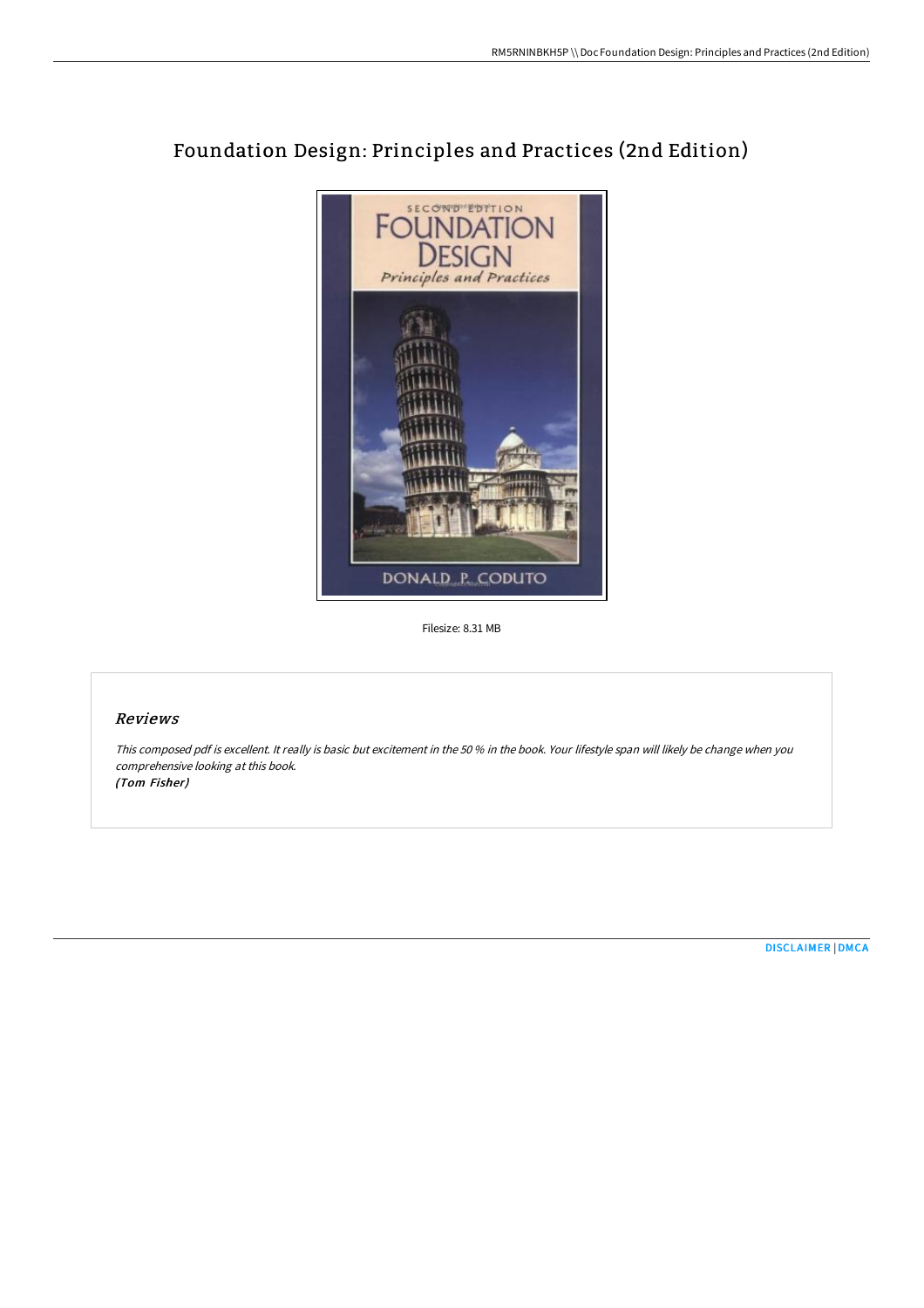

# Foundation Design: Principles and Practices (2nd Edition)

Filesize: 8.31 MB

## Reviews

This composed pdf is excellent. It really is basic but excitement in the <sup>50</sup> % in the book. Your lifestyle span will likely be change when you comprehensive looking at this book. (Tom Fisher)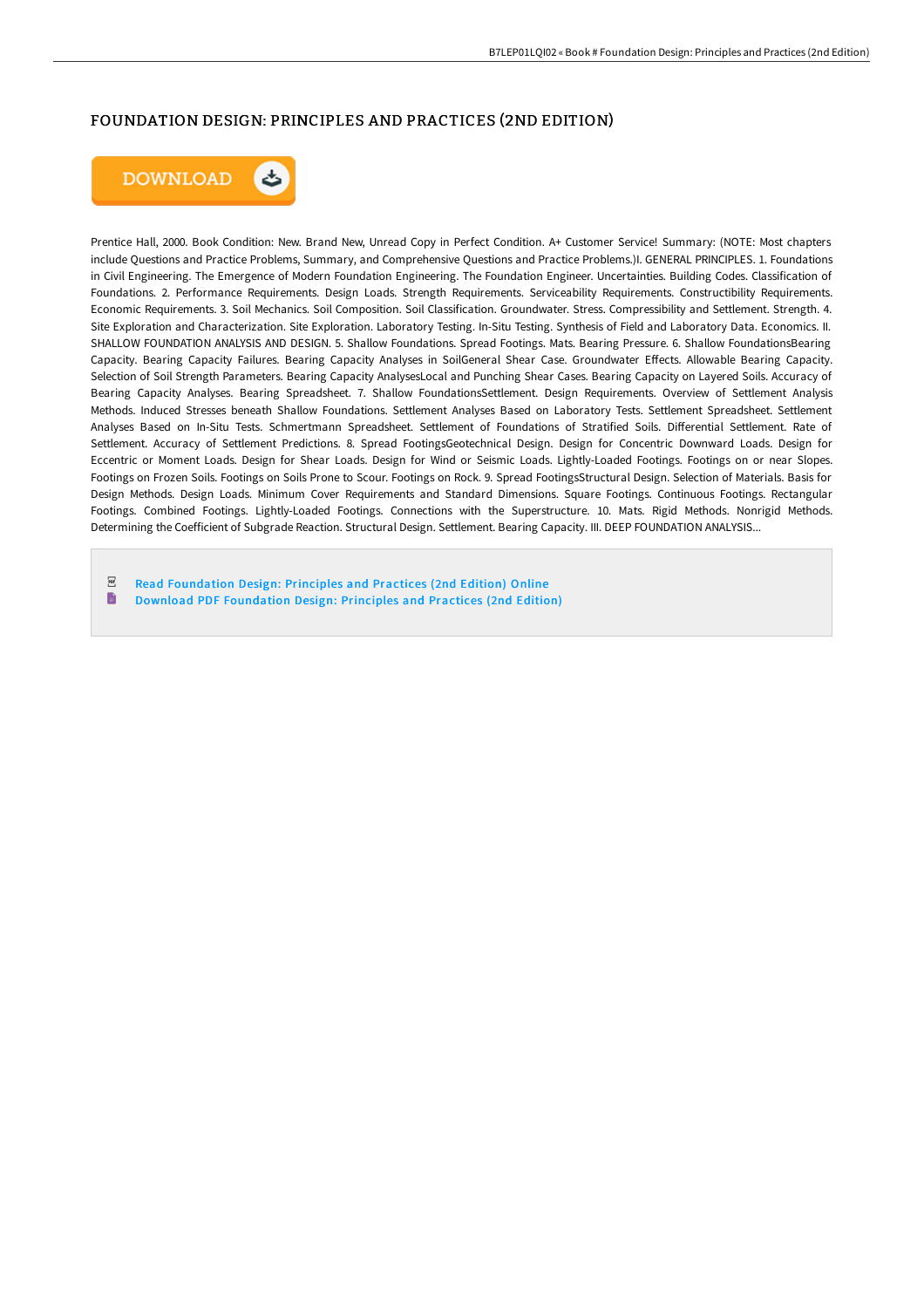### FOUNDATION DESIGN: PRINCIPLES AND PRACTICES (2ND EDITION)



Prentice Hall, 2000. Book Condition: New. Brand New, Unread Copy in Perfect Condition. A+ Customer Service! Summary: (NOTE: Most chapters include Questions and Practice Problems, Summary, and Comprehensive Questions and Practice Problems.)I. GENERAL PRINCIPLES. 1. Foundations in Civil Engineering. The Emergence of Modern Foundation Engineering. The Foundation Engineer. Uncertainties. Building Codes. Classification of Foundations. 2. Performance Requirements. Design Loads. Strength Requirements. Serviceability Requirements. Constructibility Requirements. Economic Requirements. 3. Soil Mechanics. Soil Composition. Soil Classification. Groundwater. Stress. Compressibility and Settlement. Strength. 4. Site Exploration and Characterization. Site Exploration. Laboratory Testing. In-Situ Testing. Synthesis of Field and Laboratory Data. Economics. II. SHALLOW FOUNDATION ANALYSIS AND DESIGN. 5. Shallow Foundations. Spread Footings. Mats. Bearing Pressure. 6. Shallow FoundationsBearing Capacity. Bearing Capacity Failures. Bearing Capacity Analyses in SoilGeneral Shear Case. Groundwater EGects. Allowable Bearing Capacity. Selection of Soil Strength Parameters. Bearing Capacity AnalysesLocal and Punching Shear Cases. Bearing Capacity on Layered Soils. Accuracy of Bearing Capacity Analyses. Bearing Spreadsheet. 7. Shallow FoundationsSettlement. Design Requirements. Overview of Settlement Analysis Methods. Induced Stresses beneath Shallow Foundations. Settlement Analyses Based on Laboratory Tests. Settlement Spreadsheet. Settlement Analyses Based on In-Situ Tests. Schmertmann Spreadsheet. Settlement of Foundations of Stratified Soils. Differential Settlement. Rate of Settlement. Accuracy of Settlement Predictions. 8. Spread FootingsGeotechnical Design. Design for Concentric Downward Loads. Design for Eccentric or Moment Loads. Design for Shear Loads. Design for Wind or Seismic Loads. Lightly-Loaded Footings. Footings on or near Slopes. Footings on Frozen Soils. Footings on Soils Prone to Scour. Footings on Rock. 9. Spread FootingsStructural Design. Selection of Materials. Basis for Design Methods. Design Loads. Minimum Cover Requirements and Standard Dimensions. Square Footings. Continuous Footings. Rectangular Footings. Combined Footings. Lightly-Loaded Footings. Connections with the Superstructure. 10. Mats. Rigid Methods. Nonrigid Methods. Determining the Coefficient of Subgrade Reaction. Structural Design. Settlement. Bearing Capacity. III. DEEP FOUNDATION ANALYSIS...

 $PDF$ Read [Foundation](http://www.bookdirs.com/foundation-design-principles-and-practices-2nd-e.html) Design: Principles and Practices (2nd Edition) Online  $\blacksquare$ Download PDF [Foundation](http://www.bookdirs.com/foundation-design-principles-and-practices-2nd-e.html) Design: Principles and Practices (2nd Edition)